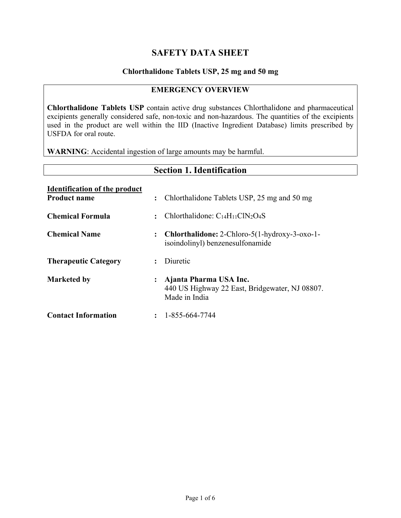## **SAFETY DATA SHEET**

#### **Chlorthalidone Tablets USP, 25 mg and 50 mg**

#### **EMERGENCY OVERVIEW**

**Chlorthalidone Tablets USP** contain active drug substances Chlorthalidone and pharmaceutical excipients generally considered safe, non-toxic and non-hazardous. The quantities of the excipients used in the product are well within the IID (Inactive Ingredient Database) limits prescribed by USFDA for oral route.

**WARNING**: Accidental ingestion of large amounts may be harmful.

|                                                             | <b>Section 1. Identification</b>                                                                            |
|-------------------------------------------------------------|-------------------------------------------------------------------------------------------------------------|
| <b>Identification of the product</b><br><b>Product name</b> | Chlorthalidone Tablets USP, 25 mg and 50 mg<br>$\ddot{\cdot}$                                               |
| <b>Chemical Formula</b>                                     | Chlorthalidone: $C_{14}H_{11}CIN_2O_4S$<br>÷                                                                |
| <b>Chemical Name</b>                                        | <b>Chlorthalidone:</b> 2-Chloro-5(1-hydroxy-3-oxo-1-<br>$\ddot{\cdot}$<br>isoindolinyl) benzenesulfonamide  |
| <b>Therapeutic Category</b>                                 | Diuretic                                                                                                    |
| <b>Marketed by</b>                                          | Ajanta Pharma USA Inc.<br>$\ddot{\cdot}$<br>440 US Highway 22 East, Bridgewater, NJ 08807.<br>Made in India |
| <b>Contact Information</b>                                  | 1-855-664-7744<br>$\ddot{\phantom{a}}$                                                                      |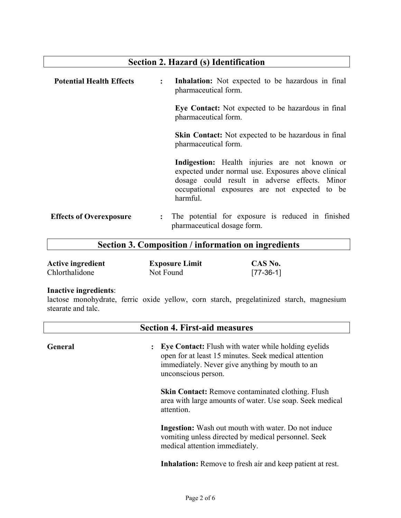# **Section 2. Hazard (s) Identification Potential Health Effects : Inhalation:** Not expected to be hazardous in final pharmaceutical form. **Eye Contact:** Not expected to be hazardous in final pharmaceutical form. **Skin Contact:** Not expected to be hazardous in final pharmaceutical form. **Indigestion:** Health injuries are not known or expected under normal use. Exposures above clinical dosage could result in adverse effects. Minor occupational exposures are not expected to be harmful. **Effects of Overexposure :** The potential for exposure is reduced in finished pharmaceutical dosage form.

#### **Section 3. Composition / information on ingredients**

| <b>Active ingredient</b> | <b>Exposure Limit</b> | CAS No.     |
|--------------------------|-----------------------|-------------|
| Chlorthalidone           | Not Found             | $[77-36-1]$ |

#### **Inactive ingredients**:

lactose monohydrate, ferric oxide yellow, corn starch, pregelatinized starch, magnesium stearate and talc.

|         | <b>Section 4. First-aid measures</b>                                                                                                                                                                                 |
|---------|----------------------------------------------------------------------------------------------------------------------------------------------------------------------------------------------------------------------|
| General | <b>Eye Contact:</b> Flush with water while holding eyelids<br>$\ddot{\phantom{a}}$<br>open for at least 15 minutes. Seek medical attention<br>immediately. Never give anything by mouth to an<br>unconscious person. |
|         | <b>Skin Contact:</b> Remove contaminated clothing. Flush<br>area with large amounts of water. Use soap. Seek medical<br>attention.                                                                                   |
|         | <b>Ingestion:</b> Wash out mouth with water. Do not induce<br>vomiting unless directed by medical personnel. Seek<br>medical attention immediately.                                                                  |
|         | <b>Inhalation:</b> Remove to fresh air and keep patient at rest.                                                                                                                                                     |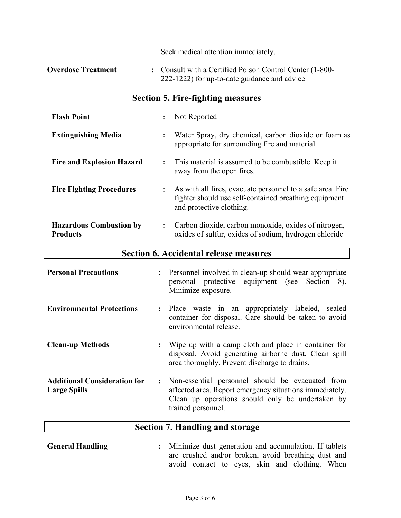|                                                   | Seek medical attention immediately.                                                                                                             |  |  |  |
|---------------------------------------------------|-------------------------------------------------------------------------------------------------------------------------------------------------|--|--|--|
| <b>Overdose Treatment</b>                         | : Consult with a Certified Poison Control Center (1-800-<br>222-1222) for up-to-date guidance and advice                                        |  |  |  |
|                                                   | <b>Section 5. Fire-fighting measures</b>                                                                                                        |  |  |  |
| <b>Flash Point</b>                                | Not Reported<br>$\ddot{\cdot}$                                                                                                                  |  |  |  |
| <b>Extinguishing Media</b>                        | Water Spray, dry chemical, carbon dioxide or foam as<br>appropriate for surrounding fire and material.                                          |  |  |  |
| <b>Fire and Explosion Hazard</b>                  | This material is assumed to be combustible. Keep it<br>$\ddot{\cdot}$<br>away from the open fires.                                              |  |  |  |
| <b>Fire Fighting Procedures</b>                   | As with all fires, evacuate personnel to a safe area. Fire<br>fighter should use self-contained breathing equipment<br>and protective clothing. |  |  |  |
| <b>Hazardous Combustion by</b><br><b>Products</b> | Carbon dioxide, carbon monoxide, oxides of nitrogen,<br>oxides of sulfur, oxides of sodium, hydrogen chloride                                   |  |  |  |

| <b>Section 6. Accidental release measures</b> |  |
|-----------------------------------------------|--|
|-----------------------------------------------|--|

| <b>Personal Precautions</b>                                |                      | : Personnel involved in clean-up should wear appropriate<br>personal protective equipment (see Section 8).<br>Minimize exposure.                                                      |
|------------------------------------------------------------|----------------------|---------------------------------------------------------------------------------------------------------------------------------------------------------------------------------------|
| <b>Environmental Protections</b>                           |                      | : Place waste in an appropriately labeled, sealed<br>container for disposal. Care should be taken to avoid<br>environmental release.                                                  |
| <b>Clean-up Methods</b>                                    |                      | Wipe up with a damp cloth and place in container for<br>disposal. Avoid generating airborne dust. Clean spill<br>area thoroughly. Prevent discharge to drains.                        |
| <b>Additional Consideration for</b><br><b>Large Spills</b> | $\ddot{\phantom{a}}$ | Non-essential personnel should be evacuated from<br>affected area. Report emergency situations immediately.<br>Clean up operations should only be undertaken by<br>trained personnel. |

# **Section 7. Handling and storage**

**General Handling :** Minimize dust generation and accumulation. If tablets are crushed and/or broken, avoid breathing dust and avoid contact to eyes, skin and clothing. When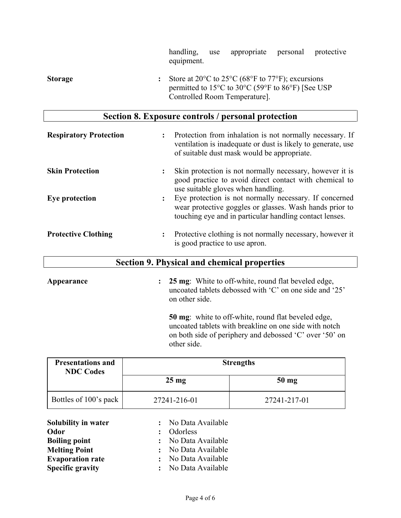|                | handling,<br>equipment. | use | appropriate                                                                                                                                                                                                                                  | personal | protective |
|----------------|-------------------------|-----|----------------------------------------------------------------------------------------------------------------------------------------------------------------------------------------------------------------------------------------------|----------|------------|
| <b>Storage</b> |                         |     | Store at 20 $\rm{^{\circ}C}$ to 25 $\rm{^{\circ}C}$ (68 $\rm{^{\circ}F}$ to 77 $\rm{^{\circ}F}$ ); excursions<br>permitted to $15^{\circ}$ C to $30^{\circ}$ C (59 $^{\circ}$ F to $86^{\circ}$ F) [See USP]<br>Controlled Room Temperature. |          |            |

# **Section 8. Exposure controls / personal protection**

| <b>Respiratory Protection</b> | $\ddot{\cdot}$ | Protection from inhalation is not normally necessary. If<br>ventilation is inadequate or dust is likely to generate, use<br>of suitable dust mask would be appropriate.      |
|-------------------------------|----------------|------------------------------------------------------------------------------------------------------------------------------------------------------------------------------|
| <b>Skin Protection</b>        | :              | Skin protection is not normally necessary, however it is<br>good practice to avoid direct contact with chemical to<br>use suitable gloves when handling.                     |
| Eye protection                | $\colon$       | Eye protection is not normally necessary. If concerned<br>wear protective goggles or glasses. Wash hands prior to<br>touching eye and in particular handling contact lenses. |
| <b>Protective Clothing</b>    | ፡              | Protective clothing is not normally necessary, however it<br>is good practice to use apron.                                                                                  |

## **Section 9. Physical and chemical properties**

**Appearance : 25 mg**: White to off-white, round flat beveled edge, uncoated tablets debossed with 'C' on one side and '25' on other side.

> **50 mg**: white to off-white, round flat beveled edge, uncoated tablets with breakline on one side with notch on both side of periphery and debossed 'C' over '50' on other side.

| <b>Presentations and</b><br><b>NDC Codes</b> |                 | <b>Strengths</b> |
|----------------------------------------------|-----------------|------------------|
|                                              | $25 \text{ mg}$ | $50 \text{ mg}$  |
| Bottles of 100's pack                        | 27241-216-01    | 27241-217-01     |

| Solubility in water     | : No Data Available |
|-------------------------|---------------------|
| Odor                    | : Odorless          |
| <b>Boiling point</b>    | : No Data Available |
| <b>Melting Point</b>    | : No Data Available |
| <b>Evaporation rate</b> | : No Data Available |
| <b>Specific gravity</b> | : No Data Available |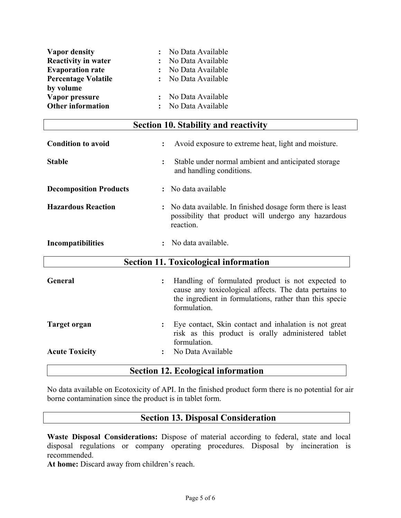| <b>Vapor density</b>       | : No Data Available |
|----------------------------|---------------------|
| <b>Reactivity in water</b> | : No Data Available |
| <b>Evaporation rate</b>    | : No Data Available |
| <b>Percentage Volatile</b> | : No Data Available |
| by volume                  |                     |
| Vapor pressure             | : No Data Available |
| <b>Other information</b>   | : No Data Available |

#### **Section 10. Stability and reactivity**

| <b>Condition to avoid</b>     | $\ddot{\cdot}$ | Avoid exposure to extreme heat, light and moisture.                                                                                                                                   |
|-------------------------------|----------------|---------------------------------------------------------------------------------------------------------------------------------------------------------------------------------------|
| <b>Stable</b>                 | $\ddot{\cdot}$ | Stable under normal ambient and anticipated storage<br>and handling conditions.                                                                                                       |
| <b>Decomposition Products</b> |                | No data available                                                                                                                                                                     |
| <b>Hazardous Reaction</b>     |                | : No data available. In finished dosage form there is least<br>possibility that product will undergo any hazardous<br>reaction.                                                       |
| <b>Incompatibilities</b>      |                | No data available.                                                                                                                                                                    |
|                               |                | <b>Section 11. Toxicological information</b>                                                                                                                                          |
| General                       | $\ddot{\cdot}$ | Handling of formulated product is not expected to<br>cause any toxicological affects. The data pertains to<br>the ingredient in formulations, rather than this specie<br>formulation. |
| <b>Target organ</b>           |                |                                                                                                                                                                                       |
|                               |                | Eye contact, Skin contact and inhalation is not great<br>risk as this product is orally administered tablet<br>formulation.                                                           |

## **Section 12. Ecological information**

No data available on Ecotoxicity of API. In the finished product form there is no potential for air borne contamination since the product is in tablet form.

## **Section 13. Disposal Consideration**

**Waste Disposal Considerations:** Dispose of material according to federal, state and local disposal regulations or company operating procedures. Disposal by incineration is recommended.

**At home:** Discard away from children's reach.